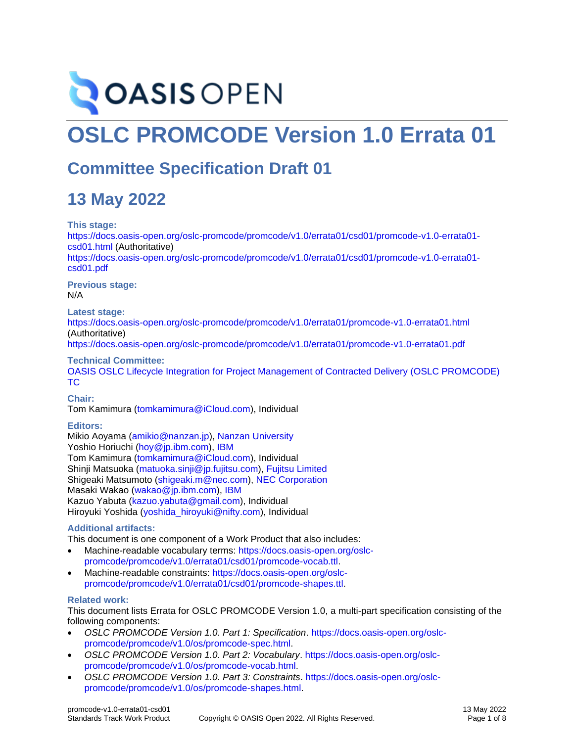# **OASIS OPEN**

# **OSLC PROMCODE Version 1.0 Errata 01**

# **Committee Specification Draft 01**

# **13 May 2022**

**This stage:**

[https://docs.oasis-open.org/oslc-promcode/promcode/v1.0/errata01/csd01/promcode-v1.0-errata01](https://docs.oasis-open.org/oslc-promcode/promcode/v1.0/errata01/csd01/promcode-v1.0-errata01-csd01.html) [csd01.html](https://docs.oasis-open.org/oslc-promcode/promcode/v1.0/errata01/csd01/promcode-v1.0-errata01-csd01.html) (Authoritative) [https://docs.oasis-open.org/oslc-promcode/promcode/v1.0/errata01/csd01/promcode-v1.0-errata01](https://docs.oasis-open.org/oslc-promcode/promcode/v1.0/errata01/csd01/promcode-v1.0-errata01-csd01.pdf) [csd01.pdf](https://docs.oasis-open.org/oslc-promcode/promcode/v1.0/errata01/csd01/promcode-v1.0-errata01-csd01.pdf)

**Previous stage:** N/A

### **Latest stage:**

<https://docs.oasis-open.org/oslc-promcode/promcode/v1.0/errata01/promcode-v1.0-errata01.html> (Authoritative)

<https://docs.oasis-open.org/oslc-promcode/promcode/v1.0/errata01/promcode-v1.0-errata01.pdf>

### **Technical Committee:**

OASIS [OSLC Lifecycle Integration for Project Management of Contracted Delivery \(OSLC PROMCODE\)](https://www.oasis-open.org/committees/oslc-promcode/)  [TC](https://www.oasis-open.org/committees/oslc-promcode/)

### **Chair:**

Tom Kamimura [\(tomkamimura@iCloud.com\)](mailto:tomkamimura@iCloud.com), Individual

### **Editors:**

Mikio Aoyama [\(amikio@nanzan.jp\)](mailto:amikio@nanzan.jp), [Nanzan University](http://www.nanzan-u.ac.jp/) Yoshio Horiuchi [\(hoy@jp.ibm.com\)](mailto:hoy@jp.ibm.com), [IBM](http://ibm.com/) Tom Kamimura [\(tomkamimura@iCloud.com\)](mailto:tomkamimura@iCloud.com), Individual Shinji Matsuoka [\(matuoka.sinji@jp.fujitsu.com\)](mailto:matuoka.sinji@jp.fujitsu.com), [Fujitsu Limited](https://www.fujitsu.com/) Shigeaki Matsumoto [\(shigeaki.m@nec.com\)](mailto:shigeaki.m@nec.com), [NEC Corporation](http://www.nec.com/) Masaki Wakao [\(wakao@jp.ibm.com\)](mailto:wakao@jp.ibm.com), [IBM](http://ibm.com/) Kazuo Yabuta [\(kazuo.yabuta@gmail.com\)](mailto:kazuo.yabuta@gmail.com), Individual Hiroyuki Yoshida [\(yoshida\\_hiroyuki@nifty.com\)](mailto:yoshida_hiroyuki@nifty.com), Individual

### <span id="page-0-0"></span>**Additional artifacts:**

This document is one component of a Work Product that also includes:

- Machine-readable vocabulary terms: [https://docs.oasis-open.org/oslc](https://docs.oasis-open.org/oslc-promcode/promcode/v1.0/errata01/csd01/promcode-vocab.ttl)[promcode/promcode/v1.0/errata01/csd01/promcode-vocab.ttl.](https://docs.oasis-open.org/oslc-promcode/promcode/v1.0/errata01/csd01/promcode-vocab.ttl)
- Machine-readable constraints: [https://docs.oasis-open.org/oslc](https://docs.oasis-open.org/oslc-promcode/promcode/v1.0/errata01/csd01/promcode-shapes.ttl)[promcode/promcode/v1.0/errata01/csd01/promcode-shapes.ttl.](https://docs.oasis-open.org/oslc-promcode/promcode/v1.0/errata01/csd01/promcode-shapes.ttl)

### **Related work:**

This document lists Errata for OSLC PROMCODE Version 1.0, a multi-part specification consisting of the following components:

- *OSLC PROMCODE Version 1.0. Part 1: Specification*. [https://docs.oasis-open.org/oslc](https://docs.oasis-open.org/oslc-promcode/promcode/v1.0/os/promcode-spec.html)[promcode/promcode/v1.0/os/promcode-spec.html.](https://docs.oasis-open.org/oslc-promcode/promcode/v1.0/os/promcode-spec.html)
- *OSLC PROMCODE Version 1.0. Part 2: Vocabulary*. [https://docs.oasis-open.org/oslc](https://docs.oasis-open.org/oslc-promcode/promcode/v1.0/os/promcode-vocab.html)[promcode/promcode/v1.0/os/promcode-vocab.html.](https://docs.oasis-open.org/oslc-promcode/promcode/v1.0/os/promcode-vocab.html)
- *OSLC PROMCODE Version 1.0. Part 3: Constraints*. [https://docs.oasis-open.org/oslc](https://docs.oasis-open.org/oslc-promcode/promcode/v1.0/os/promcode-shapes.html)[promcode/promcode/v1.0/os/promcode-shapes.html.](https://docs.oasis-open.org/oslc-promcode/promcode/v1.0/os/promcode-shapes.html)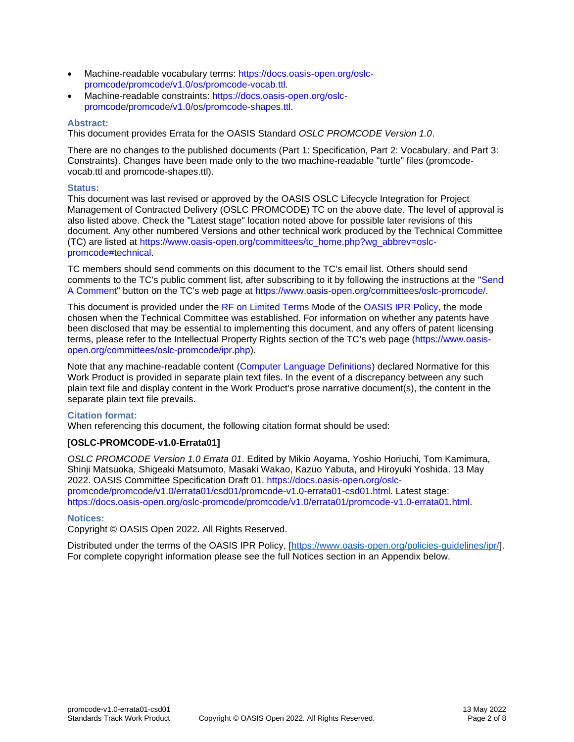- Machine-readable vocabulary terms: [https://docs.oasis-open.org/oslc](https://docs.oasis-open.org/oslc-promcode/promcode/v1.0/os/promcode-vocab.ttl)[promcode/promcode/v1.0/os/promcode-vocab.ttl.](https://docs.oasis-open.org/oslc-promcode/promcode/v1.0/os/promcode-vocab.ttl)
- Machine-readable constraints: [https://docs.oasis-open.org/oslc](https://docs.oasis-open.org/oslc-promcode/promcode/v1.0/os/promcode-shapes.ttl)[promcode/promcode/v1.0/os/promcode-shapes.ttl.](https://docs.oasis-open.org/oslc-promcode/promcode/v1.0/os/promcode-shapes.ttl)

#### **Abstract:**

This document provides Errata for the OASIS Standard *OSLC PROMCODE Version 1.0*.

There are no changes to the published documents (Part 1: Specification, Part 2: Vocabulary, and Part 3: Constraints). Changes have been made only to the two machine-readable "turtle" files (promcodevocab.ttl and promcode-shapes.ttl).

#### **Status:**

This document was last revised or approved by the OASIS OSLC Lifecycle Integration for Project Management of Contracted Delivery (OSLC PROMCODE) TC on the above date. The level of approval is also listed above. Check the "Latest stage" location noted above for possible later revisions of this document. Any other numbered Versions and other technical work produced by the Technical Committee (TC) are listed at [https://www.oasis-open.org/committees/tc\\_home.php?wg\\_abbrev=oslc](https://www.oasis-open.org/committees/tc_home.php?wg_abbrev=oslc-promcode#technical)[promcode#technical.](https://www.oasis-open.org/committees/tc_home.php?wg_abbrev=oslc-promcode#technical)

TC members should send comments on this document to the TC's email list. Others should send comments to the TC's public comment list, after subscribing to it by following the instructions at the ["Send](https://www.oasis-open.org/committees/comments/index.php?wg_abbrev=oslc-promcode)  [A Comment"](https://www.oasis-open.org/committees/comments/index.php?wg_abbrev=oslc-promcode) button on the TC's web page at [https://www.oasis-open.org/committees/oslc-promcode/.](https://www.oasis-open.org/committees/oslc-promcode/)

This document is provided under the [RF on Limited Terms](https://www.oasis-open.org/policies-guidelines/ipr/#RF-on-Limited-Mode) Mode of the [OASIS IPR Policy,](https://www.oasis-open.org/policies-guidelines/ipr/) the mode chosen when the Technical Committee was established. For information on whether any patents have been disclosed that may be essential to implementing this document, and any offers of patent licensing terms, please refer to the Intellectual Property Rights section of the TC's web page [\(https://www.oasis](https://www.oasis-open.org/committees/oslc-promcode/ipr.php)[open.org/committees/oslc-promcode/ipr.php\)](https://www.oasis-open.org/committees/oslc-promcode/ipr.php).

Note that any machine-readable content [\(Computer Language Definitions\)](https://www.oasis-open.org/policies-guidelines/tc-process-2017-05-26/#wpComponentsCompLang) declared Normative for this Work Product is provided in separate plain text files. In the event of a discrepancy between any such plain text file and display content in the Work Product's prose narrative document(s), the content in the separate plain text file prevails.

#### **Citation format:**

When referencing this document, the following citation format should be used:

#### **[OSLC-PROMCODE-v1.0-Errata01]**

*OSLC PROMCODE Version 1.0 Errata 01*. Edited by Mikio Aoyama, Yoshio Horiuchi, Tom Kamimura, Shinji Matsuoka, Shigeaki Matsumoto, Masaki Wakao, Kazuo Yabuta, and Hiroyuki Yoshida. 13 May 2022. OASIS Committee Specification Draft 01. [https://docs.oasis-open.org/oslc](https://docs.oasis-open.org/oslc-promcode/promcode/v1.0/errata01/csd01/promcode-v1.0-errata01-csd01.html)[promcode/promcode/v1.0/errata01/csd01/promcode-v1.0-errata01-csd01.html.](https://docs.oasis-open.org/oslc-promcode/promcode/v1.0/errata01/csd01/promcode-v1.0-errata01-csd01.html) Latest stage: [https://docs.oasis-open.org/oslc-promcode/promcode/v1.0/errata01/promcode-v1.0-errata01.html.](https://docs.oasis-open.org/oslc-promcode/promcode/v1.0/errata01/promcode-v1.0-errata01.html)

#### **Notices:**

Copyright © OASIS Open 2022. All Rights Reserved.

Distributed under the terms of the OASIS IPR Policy, [\[https://www.oasis-open.org/policies-guidelines/ipr/\]](https://www.oasis-open.org/policies-guidelines/ipr/). For complete copyright information please see the full Notices section in an Appendix below.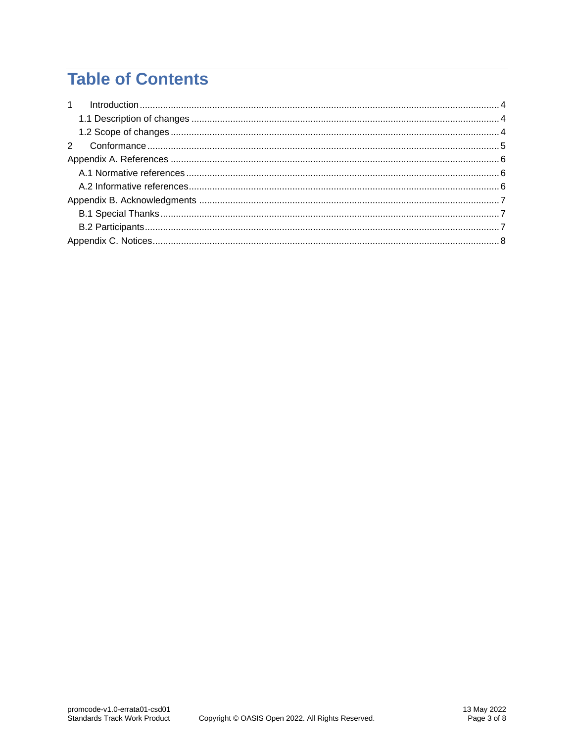# **Table of Contents**

| 1 |  |
|---|--|
|   |  |
|   |  |
|   |  |
|   |  |
|   |  |
|   |  |
|   |  |
|   |  |
|   |  |
|   |  |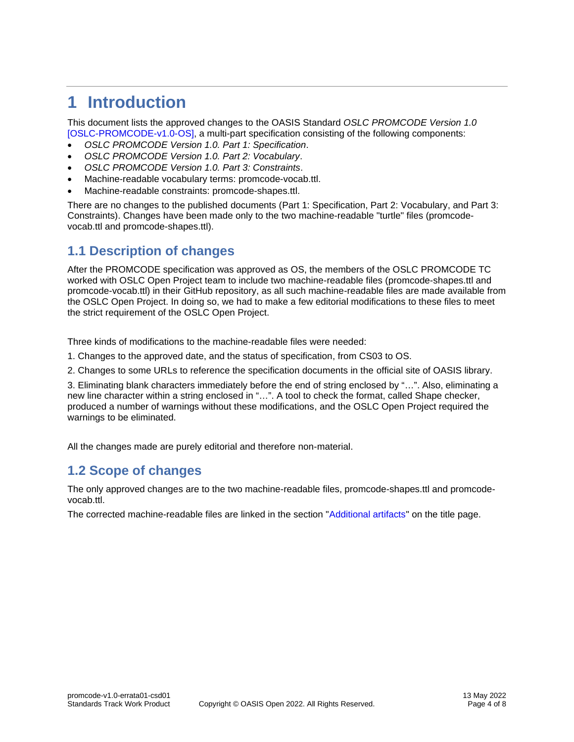## <span id="page-3-0"></span>**1 Introduction**

This document lists the approved changes to the OASIS Standard *OSLC PROMCODE Version 1.0* [\[OSLC-PROMCODE-v1.0-OS\],](#page-5-3) a multi-part specification consisting of the following components:

- *OSLC PROMCODE Version 1.0. Part 1: Specification*.
- *OSLC PROMCODE Version 1.0. Part 2: Vocabulary*.
- *OSLC PROMCODE Version 1.0. Part 3: Constraints*.
- Machine-readable vocabulary terms: promcode-vocab.ttl.
- Machine-readable constraints: promcode-shapes.ttl.

There are no changes to the published documents (Part 1: Specification, Part 2: Vocabulary, and Part 3: Constraints). Changes have been made only to the two machine-readable "turtle" files (promcodevocab.ttl and promcode-shapes.ttl).

### <span id="page-3-1"></span>**1.1 Description of changes**

After the PROMCODE specification was approved as OS, the members of the OSLC PROMCODE TC worked with OSLC Open Project team to include two machine-readable files (promcode-shapes.ttl and promcode-vocab.ttl) in their GitHub repository, as all such machine-readable files are made available from the OSLC Open Project. In doing so, we had to make a few editorial modifications to these files to meet the strict requirement of the OSLC Open Project.

Three kinds of modifications to the machine-readable files were needed:

- 1. Changes to the approved date, and the status of specification, from CS03 to OS.
- 2. Changes to some URLs to reference the specification documents in the official site of OASIS library.

3. Eliminating blank characters immediately before the end of string enclosed by "…". Also, eliminating a new line character within a string enclosed in "…". A tool to check the format, called Shape checker, produced a number of warnings without these modifications, and the OSLC Open Project required the warnings to be eliminated.

All the changes made are purely editorial and therefore non-material.

### <span id="page-3-2"></span>**1.2 Scope of changes**

The only approved changes are to the two machine-readable files, promcode-shapes.ttl and promcodevocab.ttl.

The corrected machine-readable files are linked in the section ["Additional artifacts"](#page-0-0) on the title page.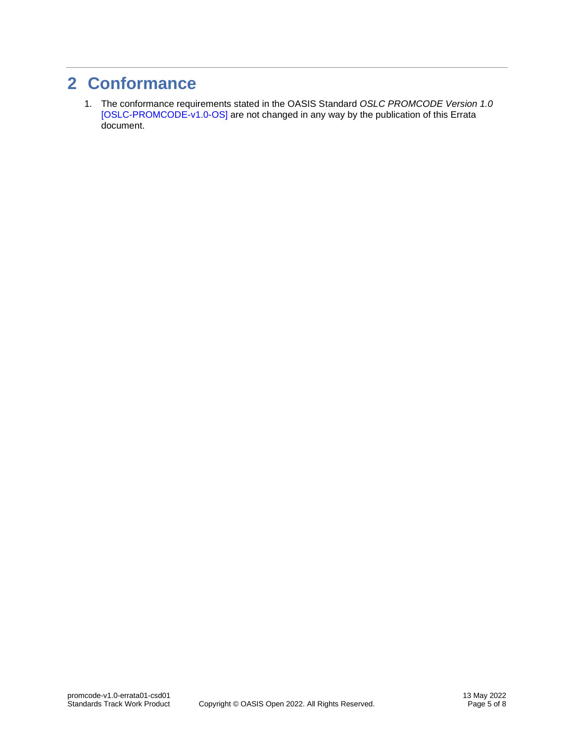### <span id="page-4-0"></span>**2 Conformance**

1. The conformance requirements stated in the OASIS Standard *OSLC PROMCODE Version 1.0* [\[OSLC-PROMCODE-v1.0-OS\]](#page-5-3) are not changed in any way by the publication of this Errata document.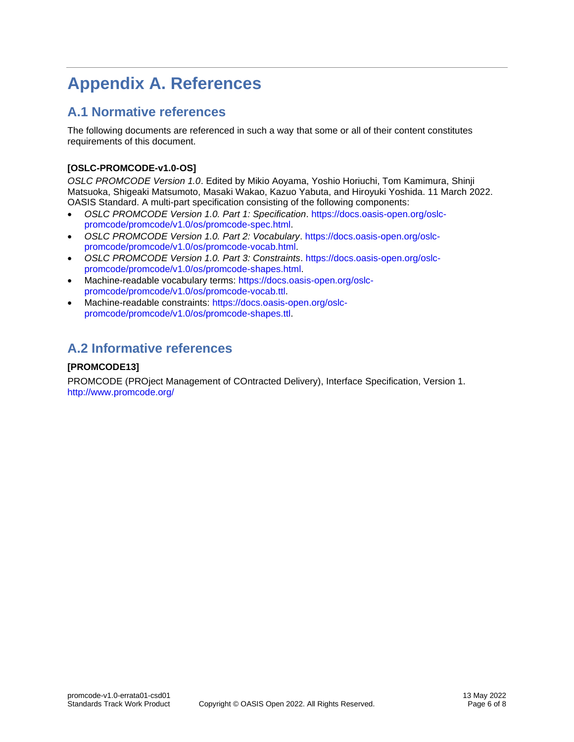# <span id="page-5-0"></span>**Appendix A. References**

### <span id="page-5-1"></span>**A.1 Normative references**

The following documents are referenced in such a way that some or all of their content constitutes requirements of this document.

### <span id="page-5-3"></span>**[OSLC-PROMCODE-v1.0-OS]**

*OSLC PROMCODE Version 1.0*. Edited by Mikio Aoyama, Yoshio Horiuchi, Tom Kamimura, Shinji Matsuoka, Shigeaki Matsumoto, Masaki Wakao, Kazuo Yabuta, and Hiroyuki Yoshida. 11 March 2022. OASIS Standard. A multi-part specification consisting of the following components:

- *OSLC PROMCODE Version 1.0. Part 1: Specification*. [https://docs.oasis-open.org/oslc](https://docs.oasis-open.org/oslc-promcode/promcode/v1.0/os/promcode-spec.html)[promcode/promcode/v1.0/os/promcode-spec.html.](https://docs.oasis-open.org/oslc-promcode/promcode/v1.0/os/promcode-spec.html)
- *OSLC PROMCODE Version 1.0. Part 2: Vocabulary*. [https://docs.oasis-open.org/oslc](https://docs.oasis-open.org/oslc-promcode/promcode/v1.0/os/promcode-vocab.html)[promcode/promcode/v1.0/os/promcode-vocab.html.](https://docs.oasis-open.org/oslc-promcode/promcode/v1.0/os/promcode-vocab.html)
- *OSLC PROMCODE Version 1.0. Part 3: Constraints*. [https://docs.oasis-open.org/oslc](https://docs.oasis-open.org/oslc-promcode/promcode/v1.0/os/promcode-shapes.html)[promcode/promcode/v1.0/os/promcode-shapes.html.](https://docs.oasis-open.org/oslc-promcode/promcode/v1.0/os/promcode-shapes.html)
- Machine-readable vocabulary terms: [https://docs.oasis-open.org/oslc](https://docs.oasis-open.org/oslc-promcode/promcode/v1.0/os/promcode-vocab.ttl)[promcode/promcode/v1.0/os/promcode-vocab.ttl.](https://docs.oasis-open.org/oslc-promcode/promcode/v1.0/os/promcode-vocab.ttl)
- Machine-readable constraints: [https://docs.oasis-open.org/oslc](https://docs.oasis-open.org/oslc-promcode/promcode/v1.0/os/promcode-shapes.ttl)[promcode/promcode/v1.0/os/promcode-shapes.ttl.](https://docs.oasis-open.org/oslc-promcode/promcode/v1.0/os/promcode-shapes.ttl)

### <span id="page-5-2"></span>**A.2 Informative references**

### <span id="page-5-4"></span>**[PROMCODE13]**

PROMCODE (PROject Management of COntracted Delivery), Interface Specification, Version 1. <http://www.promcode.org/>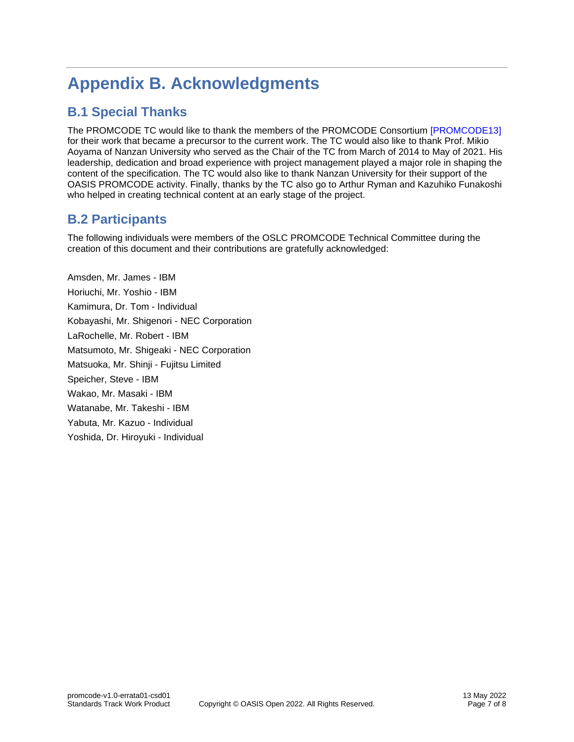# <span id="page-6-0"></span>**Appendix B. Acknowledgments**

### <span id="page-6-1"></span>**B.1 Special Thanks**

The PROMCODE TC would like to thank the members of the PROMCODE Consortium [\[PROMCODE13\]](#page-5-4) for their work that became a precursor to the current work. The TC would also like to thank Prof. Mikio Aoyama of Nanzan University who served as the Chair of the TC from March of 2014 to May of 2021. His leadership, dedication and broad experience with project management played a major role in shaping the content of the specification. The TC would also like to thank Nanzan University for their support of the OASIS PROMCODE activity. Finally, thanks by the TC also go to Arthur Ryman and Kazuhiko Funakoshi who helped in creating technical content at an early stage of the project.

### <span id="page-6-2"></span>**B.2 Participants**

The following individuals were members of the OSLC PROMCODE Technical Committee during the creation of this document and their contributions are gratefully acknowledged:

Amsden, Mr. James - IBM Horiuchi, Mr. Yoshio - IBM Kamimura, Dr. Tom - Individual Kobayashi, Mr. Shigenori - NEC Corporation LaRochelle, Mr. Robert - IBM Matsumoto, Mr. Shigeaki - NEC Corporation Matsuoka, Mr. Shinji - Fujitsu Limited Speicher, Steve - IBM Wakao, Mr. Masaki - IBM Watanabe, Mr. Takeshi - IBM Yabuta, Mr. Kazuo - Individual Yoshida, Dr. Hiroyuki - Individual